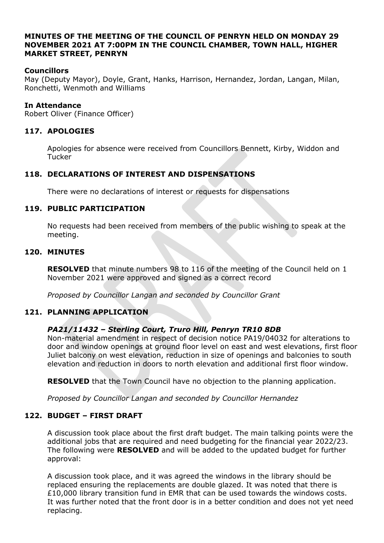#### **MINUTES OF THE MEETING OF THE COUNCIL OF PENRYN HELD ON MONDAY 29 NOVEMBER 2021 AT 7:00PM IN THE COUNCIL CHAMBER, TOWN HALL, HIGHER MARKET STREET, PENRYN**

# **Councillors**

May (Deputy Mayor), Doyle, Grant, Hanks, Harrison, Hernandez, Jordan, Langan, Milan, Ronchetti, Wenmoth and Williams

#### **In Attendance**

Robert Oliver (Finance Officer)

## **117. APOLOGIES**

Apologies for absence were received from Councillors Bennett, Kirby, Widdon and **Tucker** 

## **118. DECLARATIONS OF INTEREST AND DISPENSATIONS**

There were no declarations of interest or requests for dispensations

## **119. PUBLIC PARTICIPATION**

No requests had been received from members of the public wishing to speak at the meeting.

#### **120. MINUTES**

**RESOLVED** that minute numbers 98 to 116 of the meeting of the Council held on 1 November 2021 were approved and signed as a correct record

*Proposed by Councillor Langan and seconded by Councillor Grant*

## **121. PLANNING APPLICATION**

## *PA21/11432 – Sterling Court, Truro Hill, Penryn TR10 8DB*

Non-material amendment in respect of decision notice PA19/04032 for alterations to door and window openings at ground floor level on east and west elevations, first floor Juliet balcony on west elevation, reduction in size of openings and balconies to south elevation and reduction in doors to north elevation and additional first floor window.

**RESOLVED** that the Town Council have no objection to the planning application.

*Proposed by Councillor Langan and seconded by Councillor Hernandez*

## **122. BUDGET – FIRST DRAFT**

A discussion took place about the first draft budget. The main talking points were the additional jobs that are required and need budgeting for the financial year 2022/23. The following were **RESOLVED** and will be added to the updated budget for further approval:

A discussion took place, and it was agreed the windows in the library should be replaced ensuring the replacements are double glazed. It was noted that there is £10,000 library transition fund in EMR that can be used towards the windows costs. It was further noted that the front door is in a better condition and does not yet need replacing.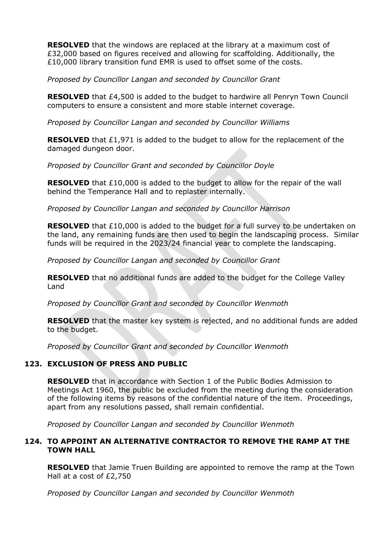**RESOLVED** that the windows are replaced at the library at a maximum cost of £32,000 based on figures received and allowing for scaffolding. Additionally, the £10,000 library transition fund EMR is used to offset some of the costs.

*Proposed by Councillor Langan and seconded by Councillor Grant*

**RESOLVED** that £4,500 is added to the budget to hardwire all Penryn Town Council computers to ensure a consistent and more stable internet coverage.

*Proposed by Councillor Langan and seconded by Councillor Williams*

**RESOLVED** that £1,971 is added to the budget to allow for the replacement of the damaged dungeon door.

*Proposed by Councillor Grant and seconded by Councillor Doyle*

**RESOLVED** that £10,000 is added to the budget to allow for the repair of the wall behind the Temperance Hall and to replaster internally.

*Proposed by Councillor Langan and seconded by Councillor Harrison*

**RESOLVED** that £10,000 is added to the budget for a full survey to be undertaken on the land, any remaining funds are then used to begin the landscaping process. Similar funds will be required in the 2023/24 financial year to complete the landscaping.

*Proposed by Councillor Langan and seconded by Councillor Grant*

**RESOLVED** that no additional funds are added to the budget for the College Valley Land

*Proposed by Councillor Grant and seconded by Councillor Wenmoth*

**RESOLVED** that the master key system is rejected, and no additional funds are added to the budget.

*Proposed by Councillor Grant and seconded by Councillor Wenmoth*

## **123. EXCLUSION OF PRESS AND PUBLIC**

**RESOLVED** that in accordance with Section 1 of the Public Bodies Admission to Meetings Act 1960, the public be excluded from the meeting during the consideration of the following items by reasons of the confidential nature of the item. Proceedings, apart from any resolutions passed, shall remain confidential.

*Proposed by Councillor Langan and seconded by Councillor Wenmoth*

# **124. TO APPOINT AN ALTERNATIVE CONTRACTOR TO REMOVE THE RAMP AT THE TOWN HALL**

**RESOLVED** that Jamie Truen Building are appointed to remove the ramp at the Town Hall at a cost of £2,750

*Proposed by Councillor Langan and seconded by Councillor Wenmoth*